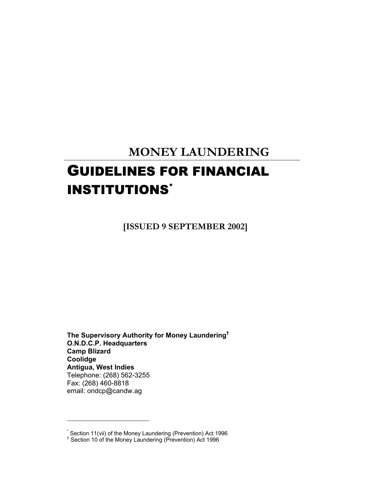# **MONEY LAUNDERING**

# GUIDELINES FOR FINANCIAL INSTITUTIONS\*

**[ISSUED 9 SEPTEMBER 2002]** 

**The Supervisory Authority for Money Laundering† O.N.D.C.P. Headquarters Camp Blizard Coolidge Antigua, West Indies**  Telephone: (268) 562-3255 Fax: (268) 460-8818 email: ondcp@candw.ag

l

<sup>\*</sup> Section 11(vii) of the Money Laundering (Prevention) Act 1996 † Section 10 of the Money Laundering (Prevention) Act 1996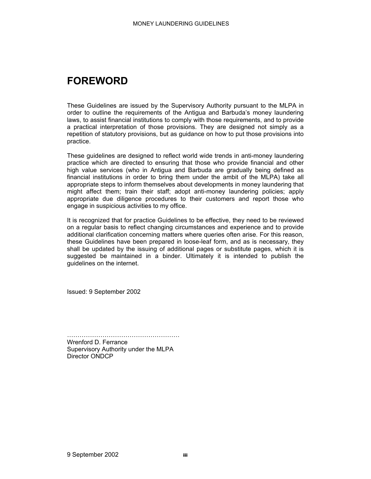# **FOREWORD**

These Guidelines are issued by the Supervisory Authority pursuant to the MLPA in order to outline the requirements of the Antigua and Barbuda's money laundering laws, to assist financial institutions to comply with those requirements, and to provide a practical interpretation of those provisions. They are designed not simply as a repetition of statutory provisions, but as guidance on how to put those provisions into practice.

These guidelines are designed to reflect world wide trends in anti-money laundering practice which are directed to ensuring that those who provide financial and other high value services (who in Antigua and Barbuda are gradually being defined as financial institutions in order to bring them under the ambit of the MLPA) take all appropriate steps to inform themselves about developments in money laundering that might affect them; train their staff; adopt anti-money laundering policies; apply appropriate due diligence procedures to their customers and report those who engage in suspicious activities to my office.

It is recognized that for practice Guidelines to be effective, they need to be reviewed on a regular basis to reflect changing circumstances and experience and to provide additional clarification concerning matters where queries often arise. For this reason, these Guidelines have been prepared in loose-leaf form, and as is necessary, they shall be updated by the issuing of additional pages or substitute pages, which it is suggested be maintained in a binder. Ultimately it is intended to publish the guidelines on the internet.

Issued: 9 September 2002

………………………………………………

Wrenford D. Ferrance Supervisory Authority under the MLPA Director ONDCP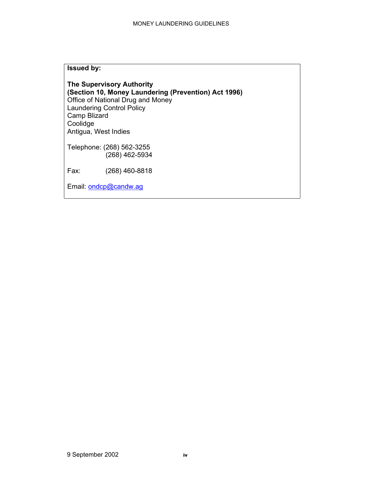#### **Issued by:**

**The Supervisory Authority (Section 10, Money Laundering (Prevention) Act 1996)**  Office of National Drug and Money Laundering Control Policy Camp Blizard Coolidge Antigua, West Indies

Telephone: (268) 562-3255 (268) 462-5934

Fax: (268) 460-8818

Email: ondcp@candw.ag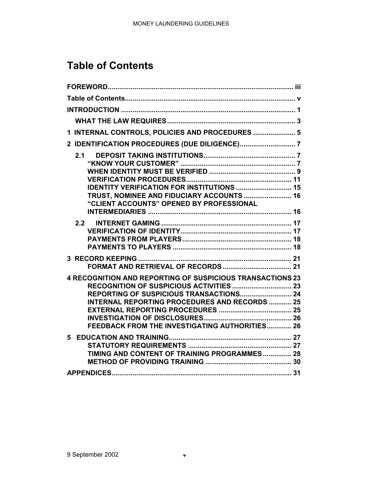# **Table of Contents**

| 1 INTERNAL CONTROLS, POLICIES AND PROCEDURES  5                                                |  |
|------------------------------------------------------------------------------------------------|--|
|                                                                                                |  |
| 2.1                                                                                            |  |
|                                                                                                |  |
|                                                                                                |  |
|                                                                                                |  |
| <b>IDENTITY VERIFICATION FOR INSTITUTIONS  15</b><br>TRUST, NOMINEE AND FIDUCIARY ACCOUNTS  16 |  |
| "CLIENT ACCOUNTS" OPENED BY PROFESSIONAL                                                       |  |
|                                                                                                |  |
| 2.2                                                                                            |  |
|                                                                                                |  |
|                                                                                                |  |
|                                                                                                |  |
|                                                                                                |  |
|                                                                                                |  |
| <b>4 RECOGNITION AND REPORTING OF SUSPICIOUS TRANSACTIONS 23</b>                               |  |
|                                                                                                |  |
|                                                                                                |  |
| <b>INTERNAL REPORTING PROCEDURES AND RECORDS  25</b>                                           |  |
|                                                                                                |  |
|                                                                                                |  |
| FEEDBACK FROM THE INVESTIGATING AUTHORITIES 26                                                 |  |
| 5                                                                                              |  |
|                                                                                                |  |
| TIMING AND CONTENT OF TRAINING PROGRAMMES 28                                                   |  |
|                                                                                                |  |
|                                                                                                |  |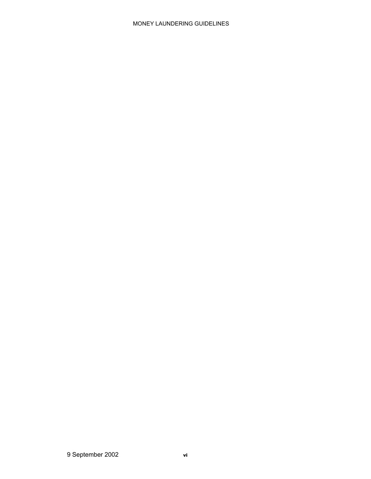#### MONEY LAUNDERING GUIDELINES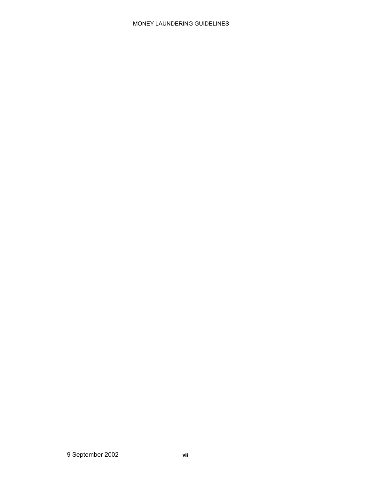#### MONEY LAUNDERING GUIDELINES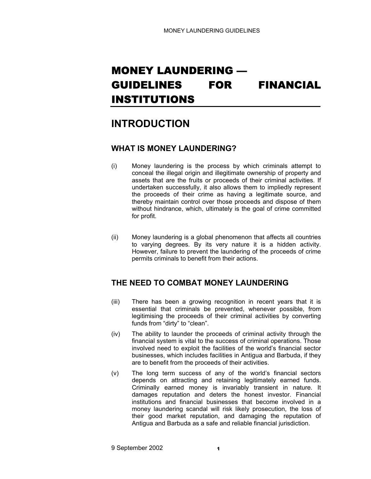# MONEY LAUNDERING — GUIDELINES FOR FINANCIAL INSTITUTIONS

# **INTRODUCTION**

#### **WHAT IS MONEY LAUNDERING?**

- (i) Money laundering is the process by which criminals attempt to conceal the illegal origin and illegitimate ownership of property and assets that are the fruits or proceeds of their criminal activities. If undertaken successfully, it also allows them to impliedly represent the proceeds of their crime as having a legitimate source, and thereby maintain control over those proceeds and dispose of them without hindrance, which, ultimately is the goal of crime committed for profit.
- (ii) Money laundering is a global phenomenon that affects all countries to varying degrees. By its very nature it is a hidden activity. However, failure to prevent the laundering of the proceeds of crime permits criminals to benefit from their actions.

#### **THE NEED TO COMBAT MONEY LAUNDERING**

- (iii) There has been a growing recognition in recent years that it is essential that criminals be prevented, whenever possible, from legitimising the proceeds of their criminal activities by converting funds from "dirty" to "clean".
- (iv) The ability to launder the proceeds of criminal activity through the financial system is vital to the success of criminal operations. Those involved need to exploit the facilities of the world's financial sector businesses, which includes facilities in Antigua and Barbuda, if they are to benefit from the proceeds of their activities.
- (v) The long term success of any of the world's financial sectors depends on attracting and retaining legitimately earned funds. Criminally earned money is invariably transient in nature. It damages reputation and deters the honest investor. Financial institutions and financial businesses that become involved in a money laundering scandal will risk likely prosecution, the loss of their good market reputation, and damaging the reputation of Antigua and Barbuda as a safe and reliable financial jurisdiction.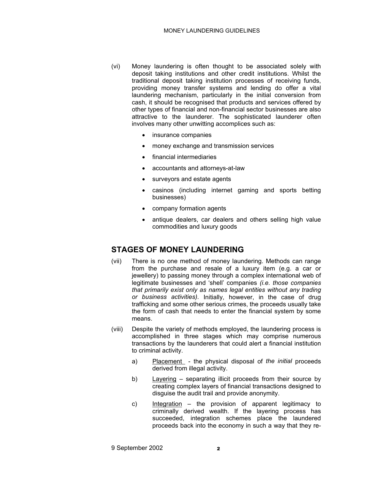- (vi) Money laundering is often thought to be associated solely with deposit taking institutions and other credit institutions. Whilst the traditional deposit taking institution processes of receiving funds, providing money transfer systems and lending do offer a vital laundering mechanism, particularly in the initial conversion from cash, it should be recognised that products and services offered by other types of financial and non-financial sector businesses are also attractive to the launderer. The sophisticated launderer often involves many other unwitting accomplices such as:
	- insurance companies
	- money exchange and transmission services
	- financial intermediaries
	- accountants and attorneys-at-law
	- surveyors and estate agents
	- casinos (including internet gaming and sports betting businesses)
	- company formation agents
	- antique dealers, car dealers and others selling high value commodities and luxury goods

#### **STAGES OF MONEY LAUNDERING**

- (vii) There is no one method of money laundering. Methods can range from the purchase and resale of a luxury item (e.g. a car or jewellery) to passing money through a complex international web of legitimate businesses and 'shell' companies *(i.e. those companies that primarily exist only as names legal entities without any trading or business activities).* Initially, however, in the case of drug trafficking and some other serious crimes, the proceeds usually take the form of cash that needs to enter the financial system by some means.
- (viii) Despite the variety of methods employed, the laundering process is accomplished in three stages which may comprise numerous transactions by the launderers that could alert a financial institution to criminal activity.
	- a) Placement the physical disposal of *the initial* proceeds derived from illegal activity.
	- b) Layering separating illicit proceeds from their source by creating complex layers of financial transactions designed to disguise the audit trail and provide anonymity.
	- c) Integration the provision of apparent legitimacy to criminally derived wealth. If the layering process has succeeded, integration schemes place the laundered proceeds back into the economy in such a way that they re-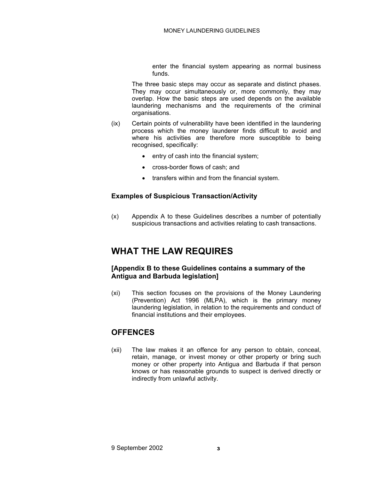enter the financial system appearing as normal business funds.

The three basic steps may occur as separate and distinct phases. They may occur simultaneously or, more commonly, they may overlap. How the basic steps are used depends on the available laundering mechanisms and the requirements of the criminal organisations.

- (ix) Certain points of vulnerability have been identified in the laundering process which the money launderer finds difficult to avoid and where his activities are therefore more susceptible to being recognised, specifically:
	- entry of cash into the financial system;
	- cross-border flows of cash; and
	- transfers within and from the financial system.

#### **Examples of Suspicious Transaction/Activity**

(x) Appendix A to these Guidelines describes a number of potentially suspicious transactions and activities relating to cash transactions.

### **WHAT THE LAW REQUIRES**

#### **[Appendix B to these Guidelines contains a summary of the Antigua and Barbuda legislation]**

(xi) This section focuses on the provisions of the Money Laundering (Prevention) Act 1996 (MLPA), which is the primary money laundering legislation, in relation to the requirements and conduct of financial institutions and their employees.

#### **OFFENCES**

(xii) The law makes it an offence for any person to obtain, conceal, retain, manage, or invest money or other property or bring such money or other property into Antigua and Barbuda if that person knows or has reasonable grounds to suspect is derived directly or indirectly from unlawful activity.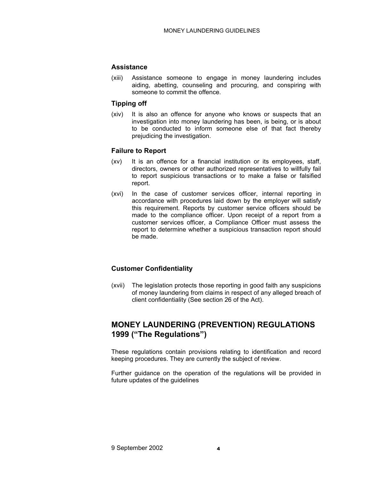#### **Assistance**

(xiii) Assistance someone to engage in money laundering includes aiding, abetting, counseling and procuring, and conspiring with someone to commit the offence.

#### **Tipping off**

(xiv) It is also an offence for anyone who knows or suspects that an investigation into money laundering has been, is being, or is about to be conducted to inform someone else of that fact thereby prejudicing the investigation.

#### **Failure to Report**

- (xv) It is an offence for a financial institution or its employees, staff, directors, owners or other authorized representatives to willfully fail to report suspicious transactions or to make a false or falsified report.
- (xvi) In the case of customer services officer, internal reporting in accordance with procedures laid down by the employer will satisfy this requirement. Reports by customer service officers should be made to the compliance officer. Upon receipt of a report from a customer services officer, a Compliance Officer must assess the report to determine whether a suspicious transaction report should be made.

#### **Customer Confidentiality**

(xvii) The legislation protects those reporting in good faith any suspicions of money laundering from claims in respect of any alleged breach of client confidentiality (See section 26 of the Act).

#### **MONEY LAUNDERING (PREVENTION) REGULATIONS 1999 ("The Regulations")**

These regulations contain provisions relating to identification and record keeping procedures. They are currently the subject of review.

Further guidance on the operation of the regulations will be provided in future updates of the guidelines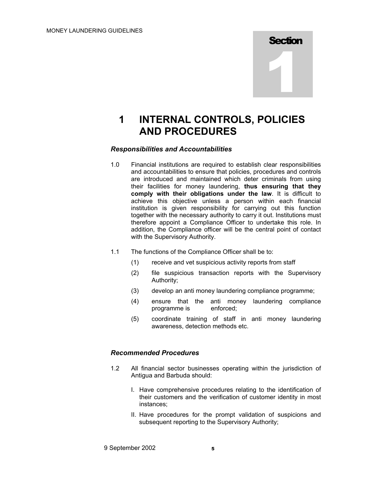# 1 Section

# **1 INTERNAL CONTROLS, POLICIES AND PROCEDURES**

#### *Responsibilities and Accountabilities*

- 1.0 Financial institutions are required to establish clear responsibilities and accountabilities to ensure that policies, procedures and controls are introduced and maintained which deter criminals from using their facilities for money laundering, **thus ensuring that they comply with their obligations under the law**. It is difficult to achieve this objective unless a person within each financial institution is given responsibility for carrying out this function together with the necessary authority to carry it out. Institutions must therefore appoint a Compliance Officer to undertake this role. In addition, the Compliance officer will be the central point of contact with the Supervisory Authority.
- 1.1 The functions of the Compliance Officer shall be to:
	- (1) receive and vet suspicious activity reports from staff
	- (2) file suspicious transaction reports with the Supervisory Authority;
	- (3) develop an anti money laundering compliance programme;
	- (4) ensure that the anti money laundering compliance programme is enforced;
	- (5) coordinate training of staff in anti money laundering awareness, detection methods etc.

#### *Recommended Procedures*

- 1.2 All financial sector businesses operating within the jurisdiction of Antigua and Barbuda should:
	- I. Have comprehensive procedures relating to the identification of their customers and the verification of customer identity in most instances;
	- II. Have procedures for the prompt validation of suspicions and subsequent reporting to the Supervisory Authority;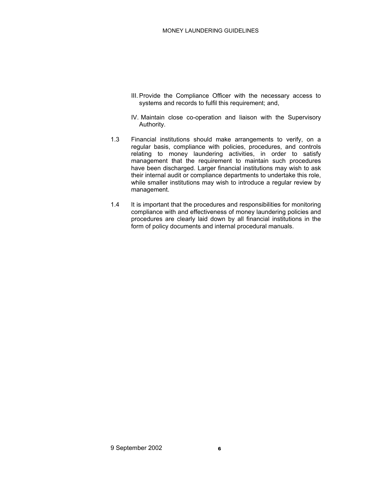- III. Provide the Compliance Officer with the necessary access to systems and records to fulfil this requirement; and,
- IV. Maintain close co-operation and liaison with the Supervisory Authority.
- 1.3 Financial institutions should make arrangements to verify, on a regular basis, compliance with policies, procedures, and controls relating to money laundering activities, in order to satisfy management that the requirement to maintain such procedures have been discharged. Larger financial institutions may wish to ask their internal audit or compliance departments to undertake this role, while smaller institutions may wish to introduce a regular review by management.
- 1.4 It is important that the procedures and responsibilities for monitoring compliance with and effectiveness of money laundering policies and procedures are clearly laid down by all financial institutions in the form of policy documents and internal procedural manuals.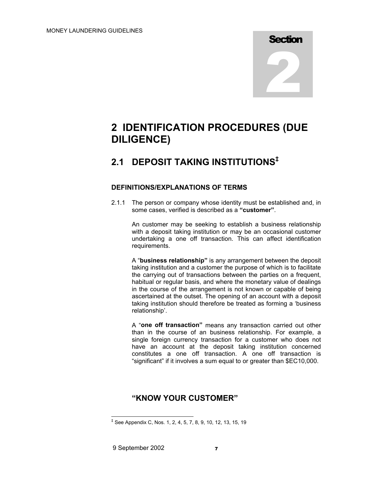# Section

2

# **2 IDENTIFICATION PROCEDURES (DUE DILIGENCE)**

# **2.1 DEPOSIT TAKING INSTITUTIONS‡**

#### **DEFINITIONS/EXPLANATIONS OF TERMS**

2.1.1 The person or company whose identity must be established and, in some cases, verified is described as a **"customer"**.

> An customer may be seeking to establish a business relationship with a deposit taking institution or may be an occasional customer undertaking a one off transaction. This can affect identification requirements.

> A "**business relationship"** is any arrangement between the deposit taking institution and a customer the purpose of which is to facilitate the carrying out of transactions between the parties on a frequent, habitual or regular basis, and where the monetary value of dealings in the course of the arrangement is not known or capable of being ascertained at the outset. The opening of an account with a deposit taking institution should therefore be treated as forming a 'business relationship'.

> A "**one off transaction"** means any transaction carried out other than in the course of an business relationship. For example, a single foreign currency transaction for a customer who does not have an account at the deposit taking institution concerned constitutes a one off transaction. A one off transaction is "significant" if it involves a sum equal to or greater than \$EC10,000.

#### **"KNOW YOUR CUSTOMER"**

 $\overline{a}$ ‡ See Appendix C, Nos. 1, 2, 4, 5, 7, 8, 9, 10, 12, 13, 15, 19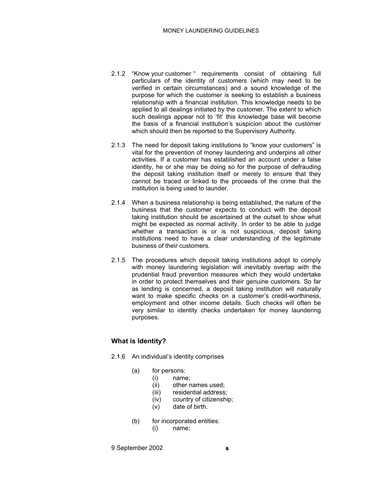- 2.1.2 "Know your customer " requirements consist of obtaining full particulars of the identity of customers (which may need to be verified in certain circumstances) and a sound knowledge of the purpose for which the customer is seeking to establish a business relationship with a financial institution. This knowledge needs to be applied to all dealings initiated by the customer. The extent to which such dealings appear not to 'fit' this knowledge base will become the basis of a financial institution's suspicion about the customer which should then be reported to the Supervisory Authority.
- 2.1.3 The need for deposit taking institutions to "know your customers" is vital for the prevention of money laundering and underpins all other activities. If a customer has established an account under a false identity, he or she may be doing so for the purpose of defrauding the deposit taking institution itself or merely to ensure that they cannot be traced or linked to the proceeds of the crime that the institution is being used to launder.
- 2.1.4 When a business relationship is being established, the nature of the business that the customer expects to conduct with the deposit taking institution should be ascertained at the outset to show what might be expected as normal activity. In order to be able to judge whether a transaction is or is not suspicious, deposit taking institutions need to have a clear understanding of the legitimate business of their customers.
- 2.1.5 The procedures which deposit taking institutions adopt to comply with money laundering legislation will inevitably overlap with the prudential fraud prevention measures which they would undertake in order to protect themselves and their genuine customers. So far as lending is concerned, a deposit taking institution will naturally want to make specific checks on a customer's credit-worthiness, employment and other income details. Such checks will often be very similar to identity checks undertaken for money laundering purposes.

#### **What is Identity?**

- 2.1.6 An individual's identity comprises
	- (a) for persons:
		- (i) name;
		- (ii) other names used;
		- (iii) residential address;
		- (iv) country of citizenship;
		- (v) date of birth.
	- (b) for incorporated entities:
		- (i) name;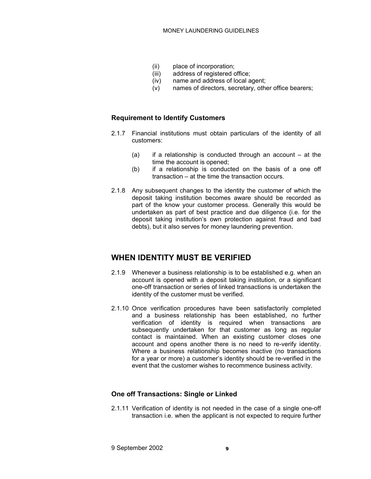- (ii) place of incorporation;
- (iii) address of registered office;
- (iv) name and address of local agent;
- (v) names of directors, secretary, other office bearers;

#### **Requirement to Identify Customers**

- 2.1.7 Financial institutions must obtain particulars of the identity of all customers:
	- $(a)$  if a relationship is conducted through an account at the time the account is opened;
	- (b) if a relationship is conducted on the basis of a one off transaction – at the time the transaction occurs.
- 2.1.8 Any subsequent changes to the identity the customer of which the deposit taking institution becomes aware should be recorded as part of the know your customer process. Generally this would be undertaken as part of best practice and due diligence (i.e. for the deposit taking institution's own protection against fraud and bad debts), but it also serves for money laundering prevention.

#### **WHEN IDENTITY MUST BE VERIFIED**

- 2.1.9 Whenever a business relationship is to be established e.g. when an account is opened with a deposit taking institution, or a significant one-off transaction or series of linked transactions is undertaken the identity of the customer must be verified.
- 2.1.10 Once verification procedures have been satisfactorily completed and a business relationship has been established, no further verification of identity is required when transactions are subsequently undertaken for that customer as long as regular contact is maintained. When an existing customer closes one account and opens another there is no need to re-verify identity. Where a business relationship becomes inactive (no transactions for a year or more) a customer's identity should be re-verified in the event that the customer wishes to recommence business activity.

#### **One off Transactions: Single or Linked**

2.1.11 Verification of identity is not needed in the case of a single one-off transaction i.e. when the applicant is not expected to require further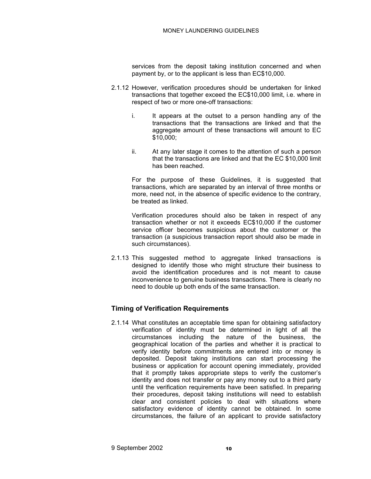services from the deposit taking institution concerned and when payment by, or to the applicant is less than EC\$10,000.

- 2.1.12 However, verification procedures should be undertaken for linked transactions that together exceed the EC\$10,000 limit, i.e. where in respect of two or more one-off transactions:
	- i. It appears at the outset to a person handling any of the transactions that the transactions are linked and that the aggregate amount of these transactions will amount to EC \$10,000;
	- ii. At any later stage it comes to the attention of such a person that the transactions are linked and that the EC \$10,000 limit has been reached.

For the purpose of these Guidelines, it is suggested that transactions, which are separated by an interval of three months or more, need not, in the absence of specific evidence to the contrary, be treated as linked.

Verification procedures should also be taken in respect of any transaction whether or not it exceeds EC\$10,000 if the customer service officer becomes suspicious about the customer or the transaction (a suspicious transaction report should also be made in such circumstances).

2.1.13 This suggested method to aggregate linked transactions is designed to identify those who might structure their business to avoid the identification procedures and is not meant to cause inconvenience to genuine business transactions. There is clearly no need to double up both ends of the same transaction.

#### **Timing of Verification Requirements**

2.1.14 What constitutes an acceptable time span for obtaining satisfactory verification of identity must be determined in light of all the circumstances including the nature of the business, the geographical location of the parties and whether it is practical to verify identity before commitments are entered into or money is deposited. Deposit taking institutions can start processing the business or application for account opening immediately, provided that it promptly takes appropriate steps to verify the customer's identity and does not transfer or pay any money out to a third party until the verification requirements have been satisfied. In preparing their procedures, deposit taking institutions will need to establish clear and consistent policies to deal with situations where satisfactory evidence of identity cannot be obtained. In some circumstances, the failure of an applicant to provide satisfactory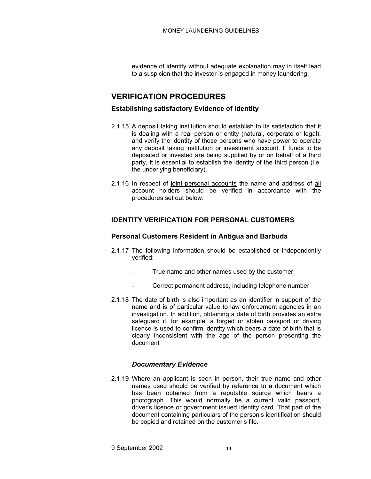evidence of identity without adequate explanation may in itself lead to a suspicion that the investor is engaged in money laundering.

#### **VERIFICATION PROCEDURES**

#### **Establishing satisfactory Evidence of Identity**

- 2.1.15 A deposit taking institution should establish to its satisfaction that it is dealing with a real person or entity (natural, corporate or legal), and verify the identity of those persons who have power to operate any deposit taking institution or investment account. If funds to be deposited or invested are being supplied by or on behalf of a third party, it is essential to establish the identity of the third person (i.e. the underlying beneficiary).
- 2.1.16 In respect of joint personal accounts the name and address of all account holders should be verified in accordance with the procedures set out below.

#### **IDENTITY VERIFICATION FOR PERSONAL CUSTOMERS**

#### **Personal Customers Resident in Antigua and Barbuda**

- 2.1.17 The following information should be established or independently verified:
	- True name and other names used by the customer;
	- Correct permanent address, including telephone number
- 2.1.18 The date of birth is also important as an identifier in support of the name and is of particular value to law enforcement agencies in an investigation. In addition, obtaining a date of birth provides an extra safeguard if, for example, a forged or stolen passport or driving licence is used to confirm identity which bears a date of birth that is clearly inconsistent with the age of the person presenting the document

#### *Documentary Evidence*

2.1.19 Where an applicant is seen in person, their true name and other names used should be verified by reference to a document which has been obtained from a reputable source which bears a photograph. This would normally be a current valid passport, driver's licence or government issued identity card. That part of the document containing particulars of the person's identification should be copied and retained on the customer's file.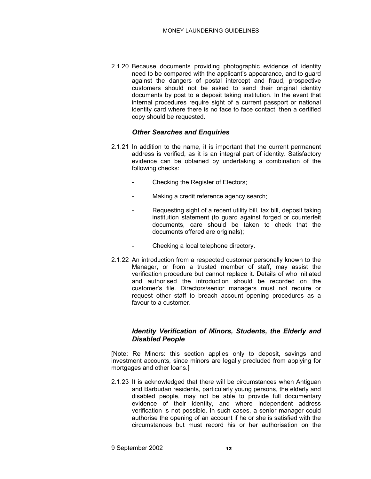2.1.20 Because documents providing photographic evidence of identity need to be compared with the applicant's appearance, and to guard against the dangers of postal intercept and fraud, prospective customers should not be asked to send their original identity documents by post to a deposit taking institution. In the event that internal procedures require sight of a current passport or national identity card where there is no face to face contact, then a certified copy should be requested.

#### *Other Searches and Enquiries*

- 2.1.21 In addition to the name, it is important that the current permanent address is verified, as it is an integral part of identity. Satisfactory evidence can be obtained by undertaking a combination of the following checks:
	- Checking the Register of Electors;
	- Making a credit reference agency search;
	- Requesting sight of a recent utility bill, tax bill, deposit taking institution statement (to guard against forged or counterfeit documents, care should be taken to check that the documents offered are originals);
	- Checking a local telephone directory.
- 2.1.22 An introduction from a respected customer personally known to the Manager, or from a trusted member of staff, may assist the verification procedure but cannot replace it. Details of who initiated and authorised the introduction should be recorded on the customer's file. Directors/senior managers must not require or request other staff to breach account opening procedures as a favour to a customer.

#### *Identity Verification of Minors, Students, the Elderly and Disabled People*

[Note: Re Minors: this section applies only to deposit, savings and investment accounts, since minors are legally precluded from applying for mortgages and other loans.]

2.1.23 It is acknowledged that there will be circumstances when Antiguan and Barbudan residents, particularly young persons, the elderly and disabled people, may not be able to provide full documentary evidence of their identity, and where independent address verification is not possible. In such cases, a senior manager could authorise the opening of an account if he or she is satisfied with the circumstances but must record his or her authorisation on the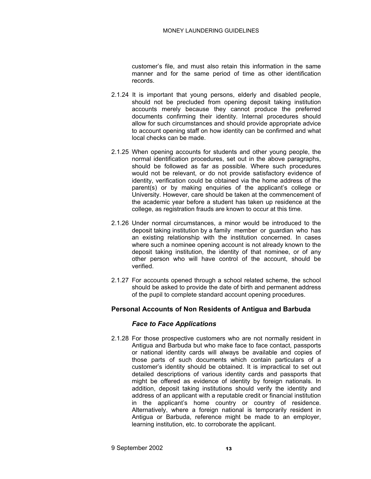customer's file, and must also retain this information in the same manner and for the same period of time as other identification records.

- 2.1.24 It is important that young persons, elderly and disabled people, should not be precluded from opening deposit taking institution accounts merely because they cannot produce the preferred documents confirming their identity. Internal procedures should allow for such circumstances and should provide appropriate advice to account opening staff on how identity can be confirmed and what local checks can be made.
- 2.1.25 When opening accounts for students and other young people, the normal identification procedures, set out in the above paragraphs, should be followed as far as possible. Where such procedures would not be relevant, or do not provide satisfactory evidence of identity, verification could be obtained via the home address of the parent(s) or by making enquiries of the applicant's college or University. However, care should be taken at the commencement of the academic year before a student has taken up residence at the college, as registration frauds are known to occur at this time.
- 2.1.26 Under normal circumstances, a minor would be introduced to the deposit taking institution by a family member or guardian who has an existing relationship with the institution concerned. In cases where such a nominee opening account is not already known to the deposit taking institution, the identity of that nominee, or of any other person who will have control of the account, should be verified.
- 2.1.27 For accounts opened through a school related scheme, the school should be asked to provide the date of birth and permanent address of the pupil to complete standard account opening procedures.

#### **Personal Accounts of Non Residents of Antigua and Barbuda**

#### *Face to Face Applications*

2.1.28 For those prospective customers who are not normally resident in Antigua and Barbuda but who make face to face contact, passports or national identity cards will always be available and copies of those parts of such documents which contain particulars of a customer's identity should be obtained. It is impractical to set out detailed descriptions of various identity cards and passports that might be offered as evidence of identity by foreign nationals. In addition, deposit taking institutions should verify the identity and address of an applicant with a reputable credit or financial institution in the applicant's home country or country of residence. Alternatively, where a foreign national is temporarily resident in Antigua or Barbuda, reference might be made to an employer, learning institution, etc. to corroborate the applicant.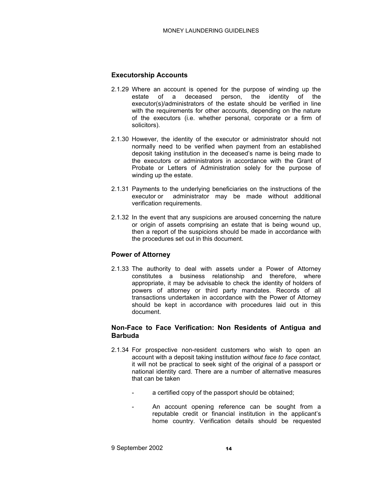#### **Executorship Accounts**

- 2.1.29 Where an account is opened for the purpose of winding up the estate of a deceased person, the identity of the executor(s)/administrators of the estate should be verified in line with the requirements for other accounts, depending on the nature of the executors (i.e. whether personal, corporate or a firm of solicitors).
- 2.1.30 However, the identity of the executor or administrator should not normally need to be verified when payment from an established deposit taking institution in the deceased's name is being made to the executors or administrators in accordance with the Grant of Probate or Letters of Administration solely for the purpose of winding up the estate.
- 2.1.31 Payments to the underlying beneficiaries on the instructions of the executor or administrator may be made without additional verification requirements.
- 2.1.32 In the event that any suspicions are aroused concerning the nature or origin of assets comprising an estate that is being wound up, then a report of the suspicions should be made in accordance with the procedures set out in this document.

#### **Power of Attorney**

2.1.33 The authority to deal with assets under a Power of Attorney constitutes a business relationship and therefore, where appropriate, it may be advisable to check the identity of holders of powers of attorney or third party mandates. Records of all transactions undertaken in accordance with the Power of Attorney should be kept in accordance with procedures laid out in this document.

#### **Non-Face to Face Verification: Non Residents of Antigua and Barbuda**

- 2.1.34 For prospective non-resident customers who wish to open an account with a deposit taking institution *without face to face contact,*  it will not be practical to seek sight of the original of a passport or national identity card. There are a number of alternative measures that can be taken
	- a certified copy of the passport should be obtained;
	- An account opening reference can be sought from a reputable credit or financial institution in the applicant's home country. Verification details should be requested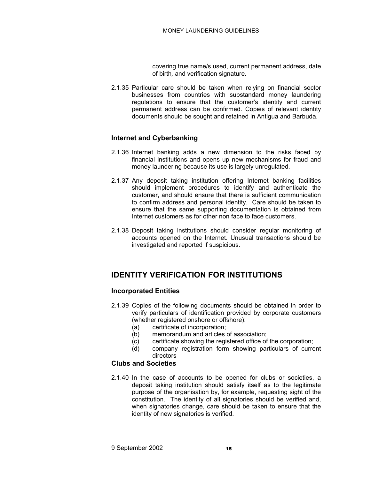covering true name/s used, current permanent address, date of birth*,* and verification signature.

2.1.35 Particular care should be taken when relying on financial sector businesses from countries with substandard money laundering regulations to ensure that the customer's identity and current permanent address can be confirmed. Copies of relevant identity documents should be sought and retained in Antigua and Barbuda.

#### **Internet and Cyberbanking**

- 2.1.36 Internet banking adds a new dimension to the risks faced by financial institutions and opens up new mechanisms for fraud and money laundering because its use is largely unregulated.
- 2.1.37 Any deposit taking institution offering Internet banking facilities should implement procedures to identify and authenticate the customer, and should ensure that there is sufficient communication to confirm address and personal identity. Care should be taken to ensure that the same supporting documentation is obtained from Internet customers as for other non face to face customers.
- 2.1.38 Deposit taking institutions should consider regular monitoring of accounts opened on the Internet. Unusual transactions should be investigated and reported if suspicious.

#### **IDENTITY VERIFICATION FOR INSTITUTIONS**

#### **Incorporated Entities**

- 2.1.39 Copies of the following documents should be obtained in order to verify particulars of identification provided by corporate customers (whether registered onshore or offshore):
	- (a) certificate of incorporation;
	- (b) memorandum and articles of association;
	- (c) certificate showing the registered office of the corporation;
	- (d) company registration form showing particulars of current directors

#### **Clubs and Societies**

2.1.40 In the case of accounts to be opened for clubs or societies, a deposit taking institution should satisfy itself as to the legitimate purpose of the organisation by, for example, requesting sight of the constitution. The identity of all signatories should be verified and, when signatories change, care should be taken to ensure that the identity of new signatories is verified.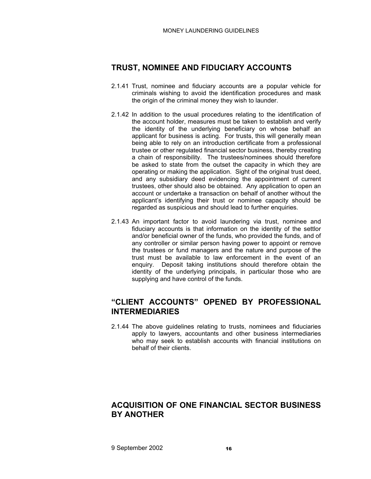#### **TRUST, NOMINEE AND FIDUCIARY ACCOUNTS**

- 2.1.41 Trust, nominee and fiduciary accounts are a popular vehicle for criminals wishing to avoid the identification procedures and mask the origin of the criminal money they wish to launder.
- 2.1.42 In addition to the usual procedures relating to the identification of the account holder, measures must be taken to establish and verify the identity of the underlying beneficiary on whose behalf an applicant for business is acting. For trusts, this will generally mean being able to rely on an introduction certificate from a professional trustee or other regulated financial sector business, thereby creating a chain of responsibility. The trustees/nominees should therefore be asked to state from the outset the capacity in which they are operating or making the application. Sight of the original trust deed, and any subsidiary deed evidencing the appointment of current trustees, other should also be obtained. Any application to open an account or undertake a transaction on behalf of another without the applicant's identifying their trust or nominee capacity should be regarded as suspicious and should lead to further enquiries.
- 2.1.43 An important factor to avoid laundering via trust, nominee and fiduciary accounts is that information on the identity of the settlor and/or beneficial owner of the funds, who provided the funds, and of any controller or similar person having power to appoint or remove the trustees or fund managers and the nature and purpose of the trust must be available to law enforcement in the event of an enquiry. Deposit taking institutions should therefore obtain the identity of the underlying principals, in particular those who are supplying and have control of the funds.

#### **"CLIENT ACCOUNTS" OPENED BY PROFESSIONAL INTERMEDIARIES**

2.1.44 The above guidelines relating to trusts, nominees and fiduciaries apply to lawyers, accountants and other business intermediaries who may seek to establish accounts with financial institutions on behalf of their clients.

#### **ACQUISITION OF ONE FINANCIAL SECTOR BUSINESS BY ANOTHER**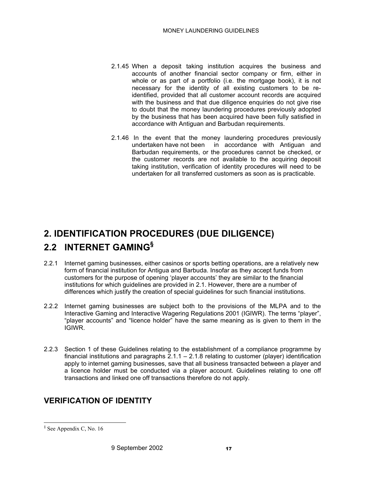- 2.1.45 When a deposit taking institution acquires the business and accounts of another financial sector company or firm, either in whole or as part of a portfolio (i.e. the mortgage book), it is not necessary for the identity of all existing customers to be reidentified, provided that all customer account records are acquired with the business and that due diligence enquiries do not give rise to doubt that the money laundering procedures previously adopted by the business that has been acquired have been fully satisfied in accordance with Antiguan and Barbudan requirements.
- 2.1.46 In the event that the money laundering procedures previously undertaken have not been in accordance with Antiguan and Barbudan requirements, or the procedures cannot be checked, or the customer records are not available to the acquiring deposit taking institution, verification of identity procedures will need to be undertaken for all transferred customers as soon as is practicable.

# **2. IDENTIFICATION PROCEDURES (DUE DILIGENCE)**

# **2.2 INTERNET GAMING§**

- 2.2.1 Internet gaming businesses, either casinos or sports betting operations, are a relatively new form of financial institution for Antigua and Barbuda. Insofar as they accept funds from customers for the purpose of opening 'player accounts' they are similar to the financial institutions for which guidelines are provided in 2.1. However, there are a number of differences which justify the creation of special guidelines for such financial institutions.
- 2.2.2 Internet gaming businesses are subject both to the provisions of the MLPA and to the Interactive Gaming and Interactive Wagering Regulations 2001 (IGIWR). The terms "player", "player accounts" and "licence holder" have the same meaning as is given to them in the IGIWR.
- 2.2.3 Section 1 of these Guidelines relating to the establishment of a compliance programme by financial institutions and paragraphs  $2.1.1 - 2.1.8$  relating to customer (player) identification apply to internet gaming businesses, save that all business transacted between a player and a licence holder must be conducted via a player account. Guidelines relating to one off transactions and linked one off transactions therefore do not apply.

#### **VERIFICATION OF IDENTITY**

 $\overline{a}$ 

<sup>§</sup> See Appendix C, No. 16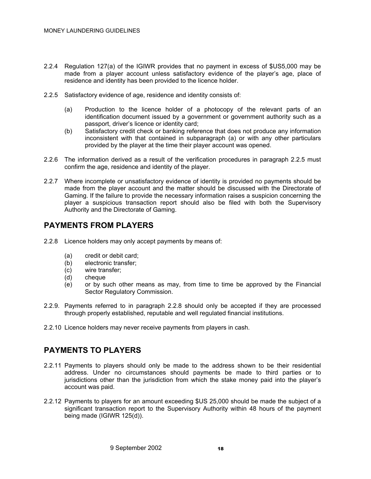- 2.2.4 Regulation 127(a) of the IGIWR provides that no payment in excess of \$US5,000 may be made from a player account unless satisfactory evidence of the player's age, place of residence and identity has been provided to the licence holder.
- 2.2.5 Satisfactory evidence of age, residence and identity consists of:
	- (a) Production to the licence holder of a photocopy of the relevant parts of an identification document issued by a government or government authority such as a passport, driver's licence or identity card;
	- (b) Satisfactory credit check or banking reference that does not produce any information inconsistent with that contained in subparagraph (a) or with any other particulars provided by the player at the time their player account was opened.
- 2.2.6 The information derived as a result of the verification procedures in paragraph 2.2.5 must confirm the age, residence and identity of the player.
- 2.2.7 Where incomplete or unsatisfactory evidence of identity is provided no payments should be made from the player account and the matter should be discussed with the Directorate of Gaming. If the failure to provide the necessary information raises a suspicion concerning the player a suspicious transaction report should also be filed with both the Supervisory Authority and the Directorate of Gaming.

#### **PAYMENTS FROM PLAYERS**

- 2.2.8 Licence holders may only accept payments by means of:
	- (a) credit or debit card;<br>(b) electronic transfer;
	- electronic transfer;
	- (c) wire transfer;
	- (d) cheque
	- (e) or by such other means as may, from time to time be approved by the Financial Sector Regulatory Commission.
- 2.2.9. Payments referred to in paragraph 2.2.8 should only be accepted if they are processed through properly established, reputable and well regulated financial institutions.
- 2.2.10 Licence holders may never receive payments from players in cash.

#### **PAYMENTS TO PLAYERS**

- 2.2.11 Payments to players should only be made to the address shown to be their residential address. Under no circumstances should payments be made to third parties or to jurisdictions other than the jurisdiction from which the stake money paid into the player's account was paid.
- 2.2.12 Payments to players for an amount exceeding \$US 25,000 should be made the subject of a significant transaction report to the Supervisory Authority within 48 hours of the payment being made (IGIWR 125(d)).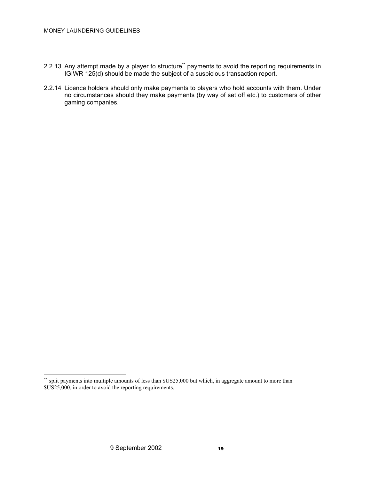- 2.2.13 Any attempt made by a player to structure<sup>\*\*</sup> payments to avoid the reporting requirements in IGIWR 125(d) should be made the subject of a suspicious transaction report.
- 2.2.14 Licence holders should only make payments to players who hold accounts with them. Under no circumstances should they make payments (by way of set off etc.) to customers of other gaming companies.

l

<sup>\*\*</sup> split payments into multiple amounts of less than \$US25,000 but which, in aggregate amount to more than \$US25,000, in order to avoid the reporting requirements.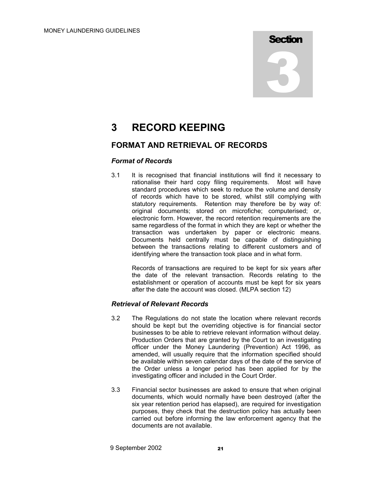## **Section**

# 3

# **3 RECORD KEEPING**

#### **FORMAT AND RETRIEVAL OF RECORDS**

#### *Format of Records*

3.1 It is recognised that financial institutions will find it necessary to rationalise their hard copy filing requirements. Most will have standard procedures which seek to reduce the volume and density of records which have to be stored, whilst still complying with statutory requirements. Retention may therefore be by way of: original documents; stored on microfiche; computerised; or, electronic form. However, the record retention requirements are the same regardless of the format in which they are kept or whether the transaction was undertaken by paper or electronic means. Documents held centrally must be capable of distinguishing between the transactions relating to different customers and of identifying where the transaction took place and in what form.

 Records of transactions are required to be kept for six years after the date of the relevant transaction. Records relating to the establishment or operation of accounts must be kept for six years after the date the account was closed. (MLPA section 12)

#### *Retrieval of Relevant Records*

- 3.2 The Regulations do not state the location where relevant records should be kept but the overriding objective is for financial sector businesses to be able to retrieve relevant information without delay. Production Orders that are granted by the Court to an investigating officer under the Money Laundering (Prevention) Act 1996, as amended, will usually require that the information specified should be available within seven calendar days of the date of the service of the Order unless a longer period has been applied for by the investigating officer and included in the Court Order.
- 3.3 Financial sector businesses are asked to ensure that when original documents, which would normally have been destroyed (after the six year retention period has elapsed), are required for investigation purposes, they check that the destruction policy has actually been carried out before informing the law enforcement agency that the documents are not available.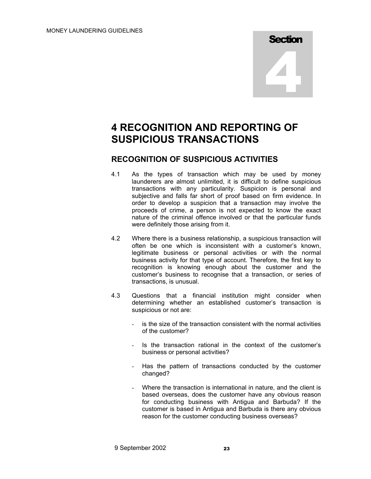4 **Section** 

# **4 RECOGNITION AND REPORTING OF SUSPICIOUS TRANSACTIONS**

#### **RECOGNITION OF SUSPICIOUS ACTIVITIES**

- 4.1 As the types of transaction which may be used by money launderers are almost unlimited, it is difficult to define suspicious transactions with any particularity. Suspicion is personal and subjective and falls far short of proof based on firm evidence. In order to develop a suspicion that a transaction may involve the proceeds of crime, a person is not expected to know the exact nature of the criminal offence involved or that the particular funds were definitely those arising from it.
- 4.2 Where there is a business relationship, a suspicious transaction will often be one which is inconsistent with a customer's known, legitimate business or personal activities or with the normal business activity for that type of account. Therefore, the first key to recognition is knowing enough about the customer and the customer's business to recognise that a transaction, or series of transactions, is unusual.
- 4.3 Questions that a financial institution might consider when determining whether an established customer's transaction is suspicious or not are:
	- is the size of the transaction consistent with the normal activities of the customer?
	- Is the transaction rational in the context of the customer's business or personal activities?
	- Has the pattern of transactions conducted by the customer changed?
	- Where the transaction is international in nature, and the client is based overseas, does the customer have any obvious reason for conducting business with Antigua and Barbuda? If the customer is based in Antigua and Barbuda is there any obvious reason for the customer conducting business overseas?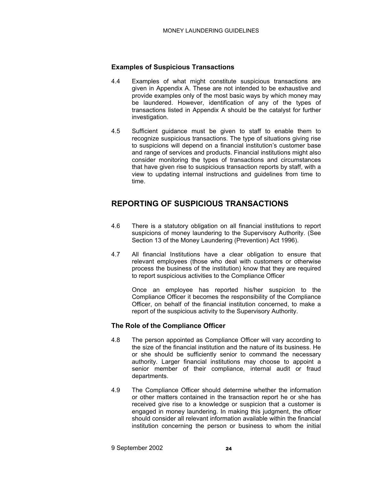#### **Examples of Suspicious Transactions**

- 4.4 Examples of what might constitute suspicious transactions are given in Appendix A. These are not intended to be exhaustive and provide examples only of the most basic ways by which money may be laundered. However, identification of any of the types of transactions listed in Appendix A should be the catalyst for further investigation.
- 4.5 Sufficient guidance must be given to staff to enable them to recognize suspicious transactions. The type of situations giving rise to suspicions will depend on a financial institution's customer base and range of services and products. Financial institutions might also consider monitoring the types of transactions and circumstances that have given rise to suspicious transaction reports by staff, with a view to updating internal instructions and guidelines from time to time.

#### **REPORTING OF SUSPICIOUS TRANSACTIONS**

- 4.6 There is a statutory obligation on all financial institutions to report suspicions of money laundering to the Supervisory Authority. (See Section 13 of the Money Laundering (Prevention) Act 1996).
- 4.7 All financial Institutions have a clear obligation to ensure that relevant employees (those who deal with customers or otherwise process the business of the institution) know that they are required to report suspicious activities to the Compliance Officer

Once an employee has reported his/her suspicion to the Compliance Officer it becomes the responsibility of the Compliance Officer, on behalf of the financial institution concerned, to make a report of the suspicious activity to the Supervisory Authority.

#### **The Role of the Compliance Officer**

- 4.8 The person appointed as Compliance Officer will vary according to the size of the financial institution and the nature of its business. He or she should be sufficiently senior to command the necessary authority. Larger financial institutions may choose to appoint a senior member of their compliance, internal audit or fraud departments.
- 4.9 The Compliance Officer should determine whether the information or other matters contained in the transaction report he or she has received give rise to a knowledge or suspicion that a customer is engaged in money laundering. In making this judgment, the officer should consider all relevant information available within the financial institution concerning the person or business to whom the initial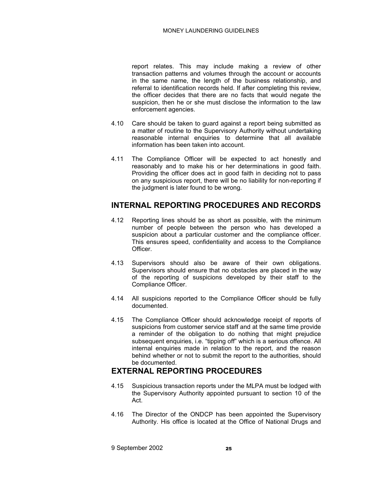report relates. This may include making a review of other transaction patterns and volumes through the account or accounts in the same name, the length of the business relationship, and referral to identification records held. If after completing this review, the officer decides that there are no facts that would negate the suspicion, then he or she must disclose the information to the law enforcement agencies.

- 4.10 Care should be taken to guard against a report being submitted as a matter of routine to the Supervisory Authority without undertaking reasonable internal enquiries to determine that all available information has been taken into account.
- 4.11 The Compliance Officer will be expected to act honestly and reasonably and to make his or her determinations in good faith. Providing the officer does act in good faith in deciding not to pass on any suspicious report, there will be no liability for non-reporting if the judgment is later found to be wrong.

#### **INTERNAL REPORTING PROCEDURES AND RECORDS**

- 4.12 Reporting lines should be as short as possible, with the minimum number of people between the person who has developed a suspicion about a particular customer and the compliance officer. This ensures speed, confidentiality and access to the Compliance Officer.
- 4.13 Supervisors should also be aware of their own obligations. Supervisors should ensure that no obstacles are placed in the way of the reporting of suspicions developed by their staff to the Compliance Officer.
- 4.14 All suspicions reported to the Compliance Officer should be fully documented.
- 4.15 The Compliance Officer should acknowledge receipt of reports of suspicions from customer service staff and at the same time provide a reminder of the obligation to do nothing that might prejudice subsequent enquiries, i.e. "tipping off" which is a serious offence. All internal enquiries made in relation to the report, and the reason behind whether or not to submit the report to the authorities, should be documented.

#### **EXTERNAL REPORTING PROCEDURES**

- 4.15 Suspicious transaction reports under the MLPA must be lodged with the Supervisory Authority appointed pursuant to section 10 of the Act.
- 4.16 The Director of the ONDCP has been appointed the Supervisory Authority. His office is located at the Office of National Drugs and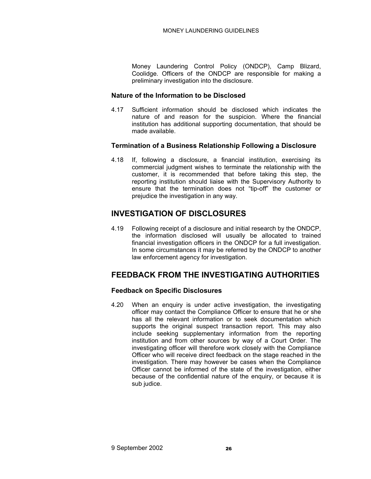Money Laundering Control Policy (ONDCP), Camp Blizard, Coolidge. Officers of the ONDCP are responsible for making a preliminary investigation into the disclosure.

#### **Nature of the Information to be Disclosed**

4.17 Sufficient information should be disclosed which indicates the nature of and reason for the suspicion. Where the financial institution has additional supporting documentation, that should be made available.

#### **Termination of a Business Relationship Following a Disclosure**

4.18 If, following a disclosure, a financial institution, exercising its commercial judgment wishes to terminate the relationship with the customer, it is recommended that before taking this step, the reporting institution should liaise with the Supervisory Authority to ensure that the termination does not "tip-off" the customer or prejudice the investigation in any way.

#### **INVESTIGATION OF DISCLOSURES**

4.19 Following receipt of a disclosure and initial research by the ONDCP, the information disclosed will usually be allocated to trained financial investigation officers in the ONDCP for a full investigation. In some circumstances it may be referred by the ONDCP to another law enforcement agency for investigation.

#### **FEEDBACK FROM THE INVESTIGATING AUTHORITIES**

#### **Feedback on Specific Disclosures**

4.20 When an enquiry is under active investigation, the investigating officer may contact the Compliance Officer to ensure that he or she has all the relevant information or to seek documentation which supports the original suspect transaction report. This may also include seeking supplementary information from the reporting institution and from other sources by way of a Court Order. The investigating officer will therefore work closely with the Compliance Officer who will receive direct feedback on the stage reached in the investigation. There may however be cases when the Compliance Officer cannot be informed of the state of the investigation, either because of the confidential nature of the enquiry, or because it is sub judice.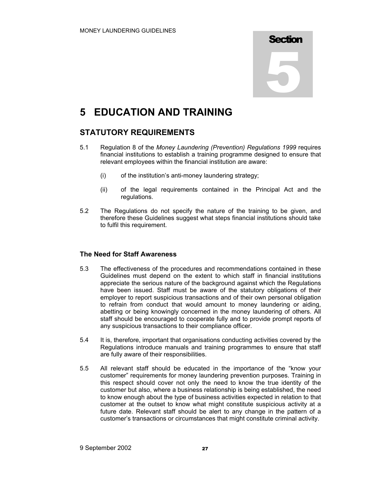# Section

5

# **5 EDUCATION AND TRAINING**

#### **STATUTORY REQUIREMENTS**

- 5.1 Regulation 8 of the *Money Laundering (Prevention) Regulations 1999* requires financial institutions to establish a training programme designed to ensure that relevant employees within the financial institution are aware:
	- (i) of the institution's anti-money laundering strategy;
	- (ii) of the legal requirements contained in the Principal Act and the regulations.
- 5.2 The Regulations do not specify the nature of the training to be given, and therefore these Guidelines suggest what steps financial institutions should take to fulfil this requirement.

#### **The Need for Staff Awareness**

- 5.3 The effectiveness of the procedures and recommendations contained in these Guidelines must depend on the extent to which staff in financial institutions appreciate the serious nature of the background against which the Regulations have been issued. Staff must be aware of the statutory obligations of their employer to report suspicious transactions and of their own personal obligation to refrain from conduct that would amount to money laundering or aiding, abetting or being knowingly concerned in the money laundering of others. All staff should be encouraged to cooperate fully and to provide prompt reports of any suspicious transactions to their compliance officer.
- 5.4 It is, therefore, important that organisations conducting activities covered by the Regulations introduce manuals and training programmes to ensure that staff are fully aware of their responsibilities.
- 5.5 All relevant staff should be educated in the importance of the "know your customer" requirements for money laundering prevention purposes. Training in this respect should cover not only the need to know the true identity of the customer but also, where a business relationship is being established, the need to know enough about the type of business activities expected in relation to that customer at the outset to know what might constitute suspicious activity at a future date. Relevant staff should be alert to any change in the pattern of a customer's transactions or circumstances that might constitute criminal activity.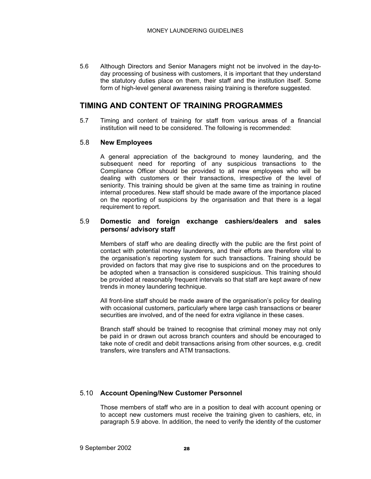5.6 Although Directors and Senior Managers might not be involved in the day-today processing of business with customers, it is important that they understand the statutory duties place on them, their staff and the institution itself. Some form of high-level general awareness raising training is therefore suggested.

#### **TIMING AND CONTENT OF TRAINING PROGRAMMES**

5.7 Timing and content of training for staff from various areas of a financial institution will need to be considered. The following is recommended:

#### 5.8 **New Employees**

A general appreciation of the background to money laundering, and the subsequent need for reporting of any suspicious transactions to the Compliance Officer should be provided to all new employees who will be dealing with customers or their transactions, irrespective of the level of seniority. This training should be given at the same time as training in routine internal procedures. New staff should be made aware of the importance placed on the reporting of suspicions by the organisation and that there is a legal requirement to report.

#### 5.9 **Domestic and foreign exchange cashiers/dealers and sales persons/ advisory staff**

Members of staff who are dealing directly with the public are the first point of contact with potential money launderers, and their efforts are therefore vital to the organisation's reporting system for such transactions. Training should be provided on factors that may give rise to suspicions and on the procedures to be adopted when a transaction is considered suspicious. This training should be provided at reasonably frequent intervals so that staff are kept aware of new trends in money laundering technique.

All front-line staff should be made aware of the organisation's policy for dealing with occasional customers, particularly where large cash transactions or bearer securities are involved, and of the need for extra vigilance in these cases.

Branch staff should be trained to recognise that criminal money may not only be paid in or drawn out across branch counters and should be encouraged to take note of credit and debit transactions arising from other sources, e.g. credit transfers, wire transfers and ATM transactions.

#### 5.10 **Account Opening/New Customer Personnel**

Those members of staff who are in a position to deal with account opening or to accept new customers must receive the training given to cashiers, etc, in paragraph 5.9 above. In addition, the need to verify the identity of the customer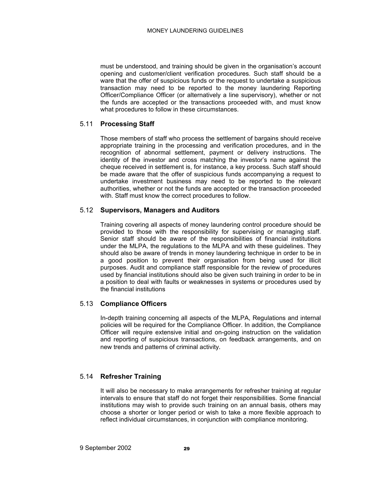must be understood, and training should be given in the organisation's account opening and customer/client verification procedures. Such staff should be a ware that the offer of suspicious funds or the request to undertake a suspicious transaction may need to be reported to the money laundering Reporting Officer/Compliance Officer (or alternatively a line supervisory), whether or not the funds are accepted or the transactions proceeded with, and must know what procedures to follow in these circumstances.

#### 5.11 **Processing Staff**

Those members of staff who process the settlement of bargains should receive appropriate training in the processing and verification procedures, and in the recognition of abnormal settlement, payment or delivery instructions. The identity of the investor and cross matching the investor's name against the cheque received in settlement is, for instance, a key process. Such staff should be made aware that the offer of suspicious funds accompanying a request to undertake investment business may need to be reported to the relevant authorities, whether or not the funds are accepted or the transaction proceeded with. Staff must know the correct procedures to follow.

#### 5.12 **Supervisors, Managers and Auditors**

Training covering all aspects of money laundering control procedure should be provided to those with the responsibility for supervising or managing staff. Senior staff should be aware of the responsibilities of financial institutions under the MLPA, the regulations to the MLPA and with these guidelines. They should also be aware of trends in money laundering technique in order to be in a good position to prevent their organisation from being used for illicit purposes. Audit and compliance staff responsible for the review of procedures used by financial institutions should also be given such training in order to be in a position to deal with faults or weaknesses in systems or procedures used by the financial institutions

#### 5.13 **Compliance Officers**

In-depth training concerning all aspects of the MLPA, Regulations and internal policies will be required for the Compliance Officer. In addition, the Compliance Officer will require extensive initial and on-going instruction on the validation and reporting of suspicious transactions, on feedback arrangements, and on new trends and patterns of criminal activity*.* 

#### 5.14 **Refresher Training**

It will also be necessary to make arrangements for refresher training at regular intervals to ensure that staff do not forget their responsibilities. Some financial institutions may wish to provide such training on an annual basis, others may choose a shorter or longer period or wish to take a more flexible approach to reflect individual circumstances, in conjunction with compliance monitoring.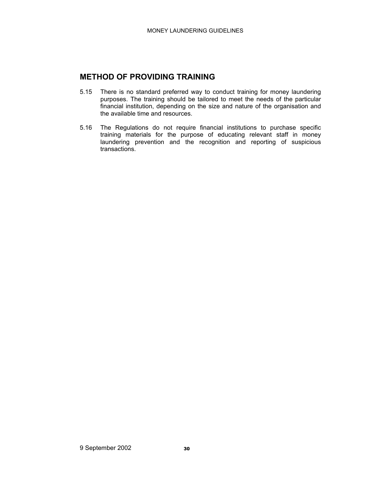#### **METHOD OF PROVIDING TRAINING**

- 5.15 There is no standard preferred way to conduct training for money laundering purposes. The training should be tailored to meet the needs of the particular financial institution, depending on the size and nature of the organisation and the available time and resources.
- 5.16 The Regulations do not require financial institutions to purchase specific training materials for the purpose of educating relevant staff in money laundering prevention and the recognition and reporting of suspicious transactions.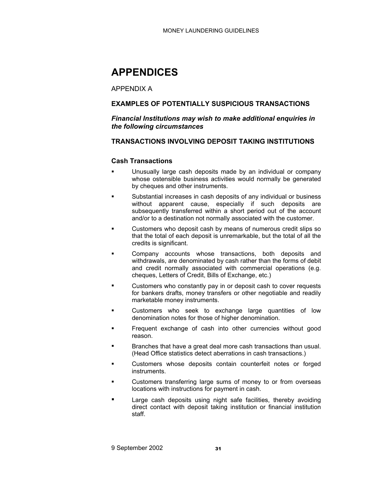# **APPENDICES**

APPENDIX A

#### **EXAMPLES OF POTENTIALLY SUSPICIOUS TRANSACTIONS**

#### *Financial Institutions may wish to make additional enquiries in the following circumstances*

#### **TRANSACTIONS INVOLVING DEPOSIT TAKING INSTITUTIONS**

#### **Cash Transactions**

- Unusually large cash deposits made by an individual or company whose ostensible business activities would normally be generated by cheques and other instruments.
- Substantial increases in cash deposits of any individual or business without apparent cause, especially if such deposits are subsequently transferred within a short period out of the account and/or to a destination not normally associated with the customer.
- Customers who deposit cash by means of numerous credit slips so that the total of each deposit is unremarkable, but the total of all the credits is significant.
- Company accounts whose transactions, both deposits and withdrawals, are denominated by cash rather than the forms of debit and credit normally associated with commercial operations (e.g. cheques, Letters of Credit, Bills of Exchange, etc.)
- Customers who constantly pay in or deposit cash to cover requests for bankers drafts, money transfers or other negotiable and readily marketable money instruments.
- **EXECUSTOMERGY WHO SEEK to exchange large quantities of low** denomination notes for those of higher denomination.
- Frequent exchange of cash into other currencies without good reason.
- Branches that have a great deal more cash transactions than usual. (Head Office statistics detect aberrations in cash transactions.)
- Customers whose deposits contain counterfeit notes or forged instruments.
- Customers transferring large sums of money to or from overseas locations with instructions for payment in cash.
- Large cash deposits using night safe facilities, thereby avoiding direct contact with deposit taking institution or financial institution staff.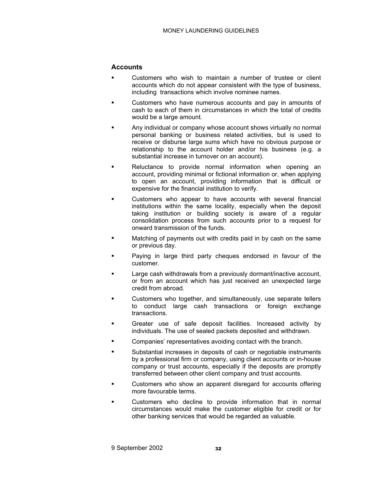#### **Accounts**

- Customers who wish to maintain a number of trustee or client accounts which do not appear consistent with the type of business, including transactions which involve nominee names.
- Customers who have numerous accounts and pay in amounts of cash to each of them in circumstances in which the total of credits would be a large amount.
- Any individual or company whose account shows virtually no normal personal banking or business related activities, but is used to receive or disburse large sums which have no obvious purpose or relationship to the account holder and/or his business (e.g. a substantial increase in turnover on an account).
- Reluctance to provide normal information when opening an account, providing minimal or fictional information or, when applying to open an account, providing information that is difficult or expensive for the financial institution to verify.
- Customers who appear to have accounts with several financial institutions within the same locality, especially when the deposit taking institution or building society is aware of a regular consolidation process from such accounts prior to a request for onward transmission of the funds.
- Matching of payments out with credits paid in by cash on the same or previous day.
- Paying in large third party cheques endorsed in favour of the customer.
- Large cash withdrawals from a previously dormant/inactive account, or from an account which has just received an unexpected large credit from abroad.
- Customers who together, and simultaneously, use separate tellers to conduct large cash transactions or foreign exchange transactions.
- Greater use of safe deposit facilities. Increased activity by individuals. The use of sealed packets deposited and withdrawn.
- Companies' representatives avoiding contact with the branch.
- Substantial increases in deposits of cash or negotiable instruments by a professional firm or company, using client accounts or in-house company or trust accounts, especially if the deposits are promptly transferred between other client company and trust accounts.
- Customers who show an apparent disregard for accounts offering more favourable terms.
- Customers who decline to provide information that in normal circumstances would make the customer eligible for credit or for other banking services that would be regarded as valuable.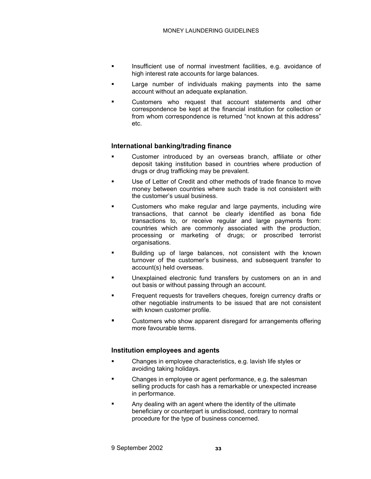- **Insufficient use of normal investment facilities, e.g. avoidance of** high interest rate accounts for large balances.
- Large number of individuals making payments into the same account without an adequate explanation.
- Customers who request that account statements and other correspondence be kept at the financial institution for collection or from whom correspondence is returned "not known at this address" etc.

#### **International banking/trading finance**

- Customer introduced by an overseas branch, affiliate or other deposit taking institution based in countries where production of drugs or drug trafficking may be prevalent.
- Use of Letter of Credit and other methods of trade finance to move money between countries where such trade is not consistent with the customer's usual business.
- Customers who make regular and large payments, including wire transactions, that cannot be clearly identified as bona fide transactions to, or receive regular and large payments from: countries which are commonly associated with the production, processing or marketing of drugs; or proscribed terrorist organisations.
- **Building up of large balances, not consistent with the known** turnover of the customer's business, and subsequent transfer to account(s) held overseas.
- Unexplained electronic fund transfers by customers on an in and out basis or without passing through an account.
- Frequent requests for travellers cheques, foreign currency drafts or other negotiable instruments to be issued that are not consistent with known customer profile.
- **EXECUSTS** Customers who show apparent disregard for arrangements offering more favourable terms.

#### **Institution employees and agents**

- Changes in employee characteristics, e.g. lavish life styles or avoiding taking holidays.
- Changes in employee or agent performance, e.g. the salesman selling products for cash has a remarkable or unexpected increase in performance.
- **EXECUTE:** Any dealing with an agent where the identity of the ultimate beneficiary or counterpart is undisclosed, contrary to normal procedure for the type of business concerned.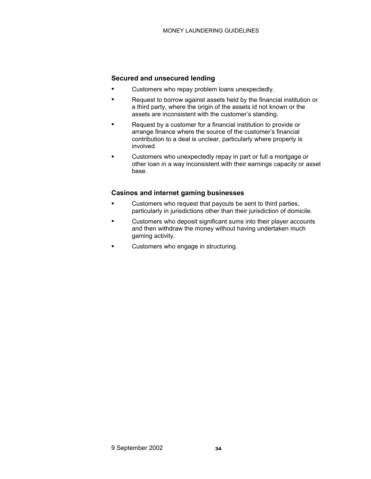#### **Secured and unsecured lending**

- **EXECUSTOMERS** who repay problem loans unexpectedly.
- **Request to borrow against assets held by the financial institution or** a third party, where the origin of the assets id not known or the assets are inconsistent with the customer's standing.
- **Request by a customer for a financial institution to provide or** arrange finance where the source of the customer's financial contribution to a deal is unclear, particularly where property is involved.
- Customers who unexpectedly repay in part or full a mortgage or other loan in a way inconsistent with their earnings capacity or asset base.

#### **Casinos and internet gaming businesses**

- Customers who request that payouts be sent to third parties, particularly in jurisdictions other than their jurisdiction of domicile.
- Customers who deposit significant sums into their player accounts and then withdraw the money without having undertaken much gaming activity.
- Customers who engage in structuring.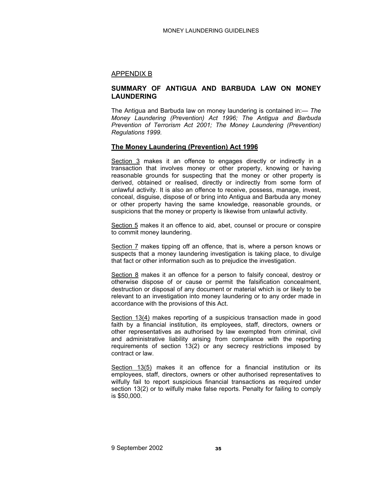#### APPENDIX B

#### **SUMMARY OF ANTIGUA AND BARBUDA LAW ON MONEY LAUNDERING**

The Antigua and Barbuda law on money laundering is contained in:— *The Money Laundering (Prevention) Act 1996; The Antigua and Barbuda Prevention of Terrorism Act 2001; The Money Laundering (Prevention) Regulations 1999.* 

#### **The Money Laundering (Prevention) Act 1996**

Section 3 makes it an offence to engages directly or indirectly in a transaction that involves money or other property, knowing or having reasonable grounds for suspecting that the money or other property is derived, obtained or realised, directly or indirectly from some form of unlawful activity. It is also an offence to receive, possess, manage, invest, conceal, disguise, dispose of or bring into Antigua and Barbuda any money or other property having the same knowledge, reasonable grounds, or suspicions that the money or property is likewise from unlawful activity.

Section 5 makes it an offence to aid, abet, counsel or procure or conspire to commit money laundering.

Section 7 makes tipping off an offence, that is, where a person knows or suspects that a money laundering investigation is taking place, to divulge that fact or other information such as to prejudice the investigation.

Section 8 makes it an offence for a person to falsify conceal, destroy or otherwise dispose of or cause or permit the falsification concealment, destruction or disposal of any document or material which is or likely to be relevant to an investigation into money laundering or to any order made in accordance with the provisions of this Act.

Section 13(4) makes reporting of a suspicious transaction made in good faith by a financial institution, its employees, staff, directors, owners or other representatives as authorised by law exempted from criminal, civil and administrative liability arising from compliance with the reporting requirements of section 13(2) or any secrecy restrictions imposed by contract or law.

Section 13(5) makes it an offence for a financial institution or its employees, staff, directors, owners or other authorised representatives to wilfully fail to report suspicious financial transactions as required under section 13(2) or to wilfully make false reports. Penalty for failing to comply is \$50,000.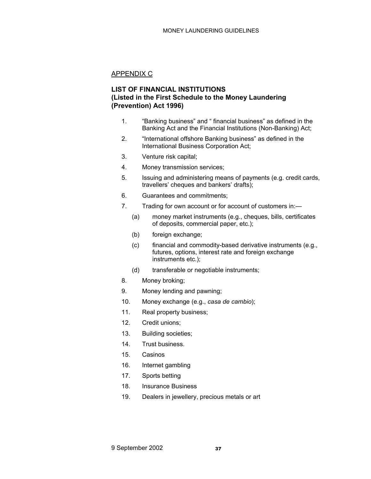#### APPENDIX C

#### **LIST OF FINANCIAL INSTITUTIONS (Listed in the First Schedule to the Money Laundering (Prevention) Act 1996)**

- 1. "Banking business" and " financial business" as defined in the Banking Act and the Financial Institutions (Non-Banking) Act;
- 2. "International offshore Banking business" as defined in the International Business Corporation Act;
- 3. Venture risk capital;
- 4. Money transmission services;
- 5. Issuing and administering means of payments (e.g. credit cards, travellers' cheques and bankers' drafts);
- 6. Guarantees and commitments;
- 7. Trading for own account or for account of customers in:—
	- (a) money market instruments (e.g., cheques, bills, certificates of deposits, commercial paper, etc.);
	- (b) foreign exchange;
	- (c) financial and commodity-based derivative instruments (e.g., futures, options, interest rate and foreign exchange instruments etc.);
	- (d) transferable or negotiable instruments;
- 8. Money broking;
- 9. Money lending and pawning;
- 10. Money exchange (e.g., *casa de cambio*);
- 11. Real property business;
- 12. Credit unions;
- 13. Building societies;
- 14. Trust business.
- 15. Casinos
- 16. Internet gambling
- 17. Sports betting
- 18. Insurance Business
- 19. Dealers in jewellery, precious metals or art